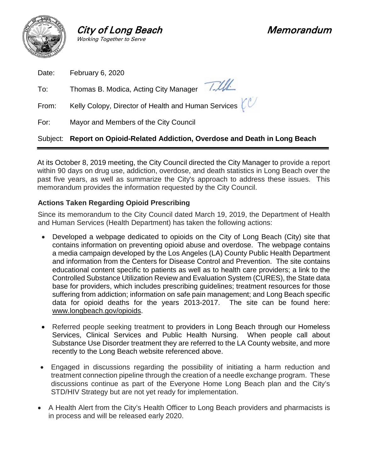

**City of Long Beach Memorandum**<br>Working Together to Serve

|       | Subject: Report on Opioid-Related Addiction, Overdose and Death in Long Beach |
|-------|-------------------------------------------------------------------------------|
| For:  | Mayor and Members of the City Council                                         |
| From: | Kelly Colopy, Director of Health and Human Services $\ell^{\mathbb{C}}$       |
| To:   | Thomas B. Modica, Acting City Manager 7.///                                   |
| Date: | February 6, 2020                                                              |

At its October 8, 2019 meeting, the City Council directed the City Manager to provide a report within 90 days on drug use, addiction, overdose, and death statistics in Long Beach over the past five years, as well as summarize the City's approach to address these issues. This memorandum provides the information requested by the City Council.

# **Actions Taken Regarding Opioid Prescribing**

Since its memorandum to the City Council dated March 19, 2019, the Department of Health and Human Services (Health Department) has taken the following actions:

- Developed a webpage dedicated to opioids on the City of Long Beach (City) site that contains information on preventing opioid abuse and overdose. The webpage contains a media campaign developed by the Los Angeles (LA) County Public Health Department and information from the Centers for Disease Control and Prevention. The site contains educational content specific to patients as well as to health care providers; a link to the Controlled Substance Utilization Review and Evaluation System (CURES), the State data base for providers, which includes prescribing guidelines; treatment resources for those suffering from addiction; information on safe pain management; and Long Beach specific data for opioid deaths for the years 2013-2017. The site can be found here: [www.longbeach.gov/opioids.](http://www.longbeach.gov/opioids)
- Referred people seeking treatment to providers in Long Beach through our Homeless Services, Clinical Services and Public Health Nursing. When people call about Substance Use Disorder treatment they are referred to the LA County website, and more recently to the Long Beach website referenced above.
- Engaged in discussions regarding the possibility of initiating a harm reduction and treatment connection pipeline through the creation of a needle exchange program. These discussions continue as part of the Everyone Home Long Beach plan and the City's STD/HIV Strategy but are not yet ready for implementation.
- A Health Alert from the City's Health Officer to Long Beach providers and pharmacists is in process and will be released early 2020.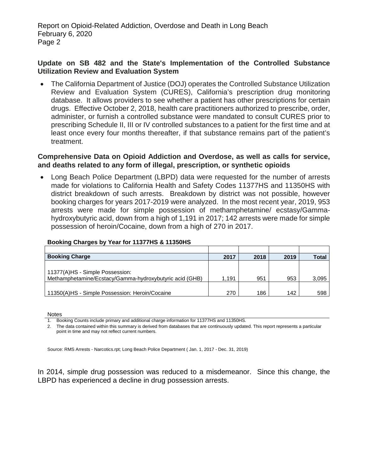### **Update on SB 482 and the State's Implementation of the Controlled Substance Utilization Review and Evaluation System**

• The California Department of Justice (DOJ) operates the Controlled Substance Utilization Review and Evaluation System (CURES), California's prescription drug monitoring database. It allows providers to see whether a patient has other prescriptions for certain drugs. Effective October 2, 2018, health care practitioners authorized to prescribe, order, administer, or furnish a controlled substance were mandated to consult CURES prior to prescribing Schedule II, III or IV controlled substances to a patient for the first time and at least once every four months thereafter, if that substance remains part of the patient's treatment.

### **Comprehensive Data on Opioid Addiction and Overdose, as well as calls for service, and deaths related to any form of illegal, prescription, or synthetic opioids**

• Long Beach Police Department (LBPD) data were requested for the number of arrests made for violations to California Health and Safety Codes 11377HS and 11350HS with district breakdown of such arrests. Breakdown by district was not possible, however booking charges for years 2017-2019 were analyzed. In the most recent year, 2019, 953 arrests were made for simple possession of methamphetamine/ ecstasy/Gammahydroxybutyric acid, down from a high of 1,191 in 2017; 142 arrests were made for simple possession of heroin/Cocaine, down from a high of 270 in 2017.

| <b>Booking Charge</b>                                   | 2017  | 2018 | 2019 | <b>Total</b> |
|---------------------------------------------------------|-------|------|------|--------------|
|                                                         |       |      |      |              |
| 11377(A)HS - Simple Possession:                         |       |      |      |              |
| Methamphetamine/Ecstacy/Gamma-hydroxybutyric acid (GHB) | 1.191 | 951  | 953  | 3,095        |
|                                                         |       |      |      |              |
| 11350(A)HS - Simple Possession: Heroin/Cocaine          | 270   | 186  | 142  | 598          |

#### **Booking Charges by Year for 11377HS & 11350HS**

Notes

1. Booking Counts include primary and additional charge information for 11377HS and 11350HS.

2. The data contained within this summary is derived from databases that are continuously updated. This report represents a particular point in time and may not reflect current numbers.

Source: RMS Arrests - Narcotics.rpt; Long Beach Police Department ( Jan. 1, 2017 - Dec. 31, 2019)

In 2014, simple drug possession was reduced to a misdemeanor. Since this change, the LBPD has experienced a decline in drug possession arrests.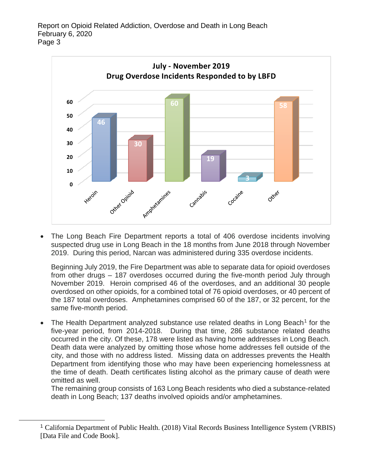

• The Long Beach Fire Department reports a total of 406 overdose incidents involving suspected drug use in Long Beach in the 18 months from June 2018 through November 2019. During this period, Narcan was administered during 335 overdose incidents.

Beginning July 2019, the Fire Department was able to separate data for opioid overdoses from other drugs – 187 overdoses occurred during the five-month period July through November 2019. Heroin comprised 46 of the overdoses, and an additional 30 people overdosed on other opioids, for a combined total of 76 opioid overdoses, or 40 percent of the 187 total overdoses. Amphetamines comprised 60 of the 187, or 32 percent, for the same five-month period.

• The Health Department analyzed substance use related deaths in Long Beach<sup>[1](#page-2-0)</sup> for the five-year period, from 2014-2018. During that time, 286 substance related deaths occurred in the city. Of these, 178 were listed as having home addresses in Long Beach. Death data were analyzed by omitting those whose home addresses fell outside of the city, and those with no address listed. Missing data on addresses prevents the Health Department from identifying those who may have been experiencing homelessness at the time of death. Death certificates listing alcohol as the primary cause of death were omitted as well.

The remaining group consists of 163 Long Beach residents who died a substance-related death in Long Beach; 137 deaths involved opioids and/or amphetamines.

<span id="page-2-0"></span> <sup>1</sup> California Department of Public Health. (2018) Vital Records Business Intelligence System (VRBIS) [Data File and Code Book].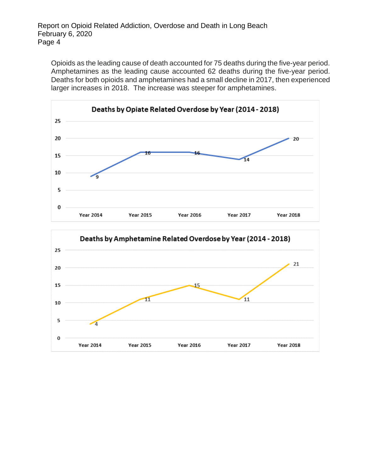Opioids as the leading cause of death accounted for 75 deaths during the five-year period. Amphetamines as the leading cause accounted 62 deaths during the five-year period. Deaths for both opioids and amphetamines had a small decline in 2017, then experienced larger increases in 2018. The increase was steeper for amphetamines.



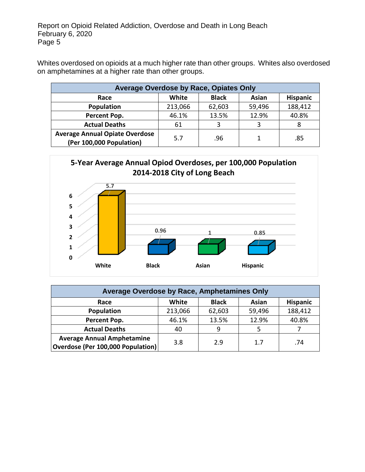Whites overdosed on opioids at a much higher rate than other groups. Whites also overdosed on amphetamines at a higher rate than other groups.

| <b>Average Overdose by Race, Opiates Only</b>                     |         |              |        |                 |  |  |  |
|-------------------------------------------------------------------|---------|--------------|--------|-----------------|--|--|--|
| Race                                                              | White   | <b>Black</b> | Asian  | <b>Hispanic</b> |  |  |  |
| Population                                                        | 213,066 | 62,603       | 59,496 | 188,412         |  |  |  |
| Percent Pop.                                                      | 46.1%   | 13.5%        | 12.9%  | 40.8%           |  |  |  |
| <b>Actual Deaths</b>                                              | 61      | 3            |        |                 |  |  |  |
| <b>Average Annual Opiate Overdose</b><br>(Per 100,000 Population) | 5.7     | .96          |        | .85             |  |  |  |



| Average Overdose by Race, Amphetamines Only                            |         |              |        |                 |  |  |  |
|------------------------------------------------------------------------|---------|--------------|--------|-----------------|--|--|--|
| Race                                                                   | White   | <b>Black</b> | Asian  | <b>Hispanic</b> |  |  |  |
| Population                                                             | 213,066 | 62,603       | 59,496 | 188,412         |  |  |  |
| Percent Pop.                                                           | 46.1%   | 13.5%        | 12.9%  | 40.8%           |  |  |  |
| <b>Actual Deaths</b>                                                   | 40      | 9            |        |                 |  |  |  |
| <b>Average Annual Amphetamine</b><br>Overdose (Per 100,000 Population) | 3.8     | 2.9          | 1.7    | .74             |  |  |  |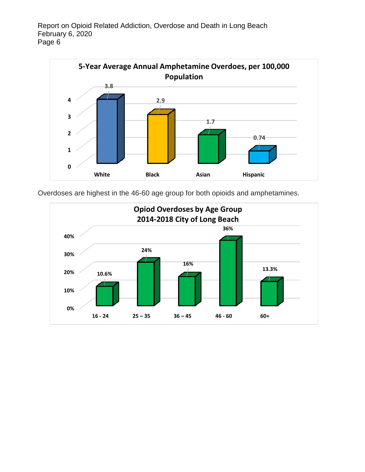

Overdoses are highest in the 46-60 age group for both opioids and amphetamines.

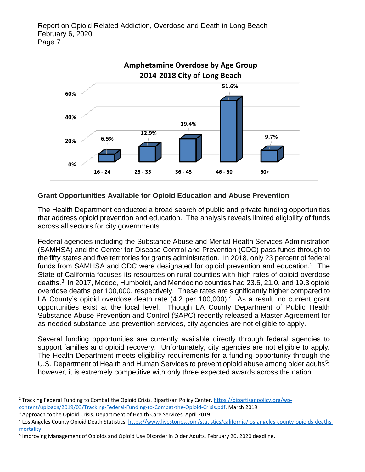

## **Grant Opportunities Available for Opioid Education and Abuse Prevention**

The Health Department conducted a broad search of public and private funding opportunities that address opioid prevention and education. The analysis reveals limited eligibility of funds across all sectors for city governments.

Federal agencies including the Substance Abuse and Mental Health Services Administration (SAMHSA) and the Center for Disease Control and Prevention (CDC) pass funds through to the fifty states and five territories for grants administration. In 2018, only 23 percent of federal funds from SAMHSA and CDC were designated for opioid prevention and education.<sup>2</sup> The State of California focuses its resources on rural counties with high rates of opioid overdose deaths.[3](#page-6-1) In 2017, Modoc, Humboldt, and Mendocino counties had 23.6, 21.0, and 19.3 opioid overdose deaths per 100,000, respectively. These rates are significantly higher compared to LA County's opioid overdose death rate ([4](#page-6-2).2 per 100,000).<sup>4</sup> As a result, no current grant opportunities exist at the local level. Though LA County Department of Public Health Substance Abuse Prevention and Control (SAPC) recently released a Master Agreement for as-needed substance use prevention services, city agencies are not eligible to apply.

Several funding opportunities are currently available directly through federal agencies to support families and opioid recovery. Unfortunately, city agencies are not eligible to apply. The Health Department meets eligibility requirements for a funding opportunity through the U.S. Department of Health and Human Services to prevent opioid abuse among older adults<sup>[5](#page-6-3)</sup>; however, it is extremely competitive with only three expected awards across the nation.

 $\overline{a}$ 

<span id="page-6-0"></span><sup>&</sup>lt;sup>2</sup> Tracking Federal Funding to Combat the Opioid Crisis. Bipartisan Policy Center[, https://bipartisanpolicy.org/wp](https://bipartisanpolicy.org/wp-content/uploads/2019/03/Tracking-Federal-Funding-to-Combat-the-Opioid-Crisis.pdf)[content/uploads/2019/03/Tracking-Federal-Funding-to-Combat-the-Opioid-Crisis.pdf.](https://bipartisanpolicy.org/wp-content/uploads/2019/03/Tracking-Federal-Funding-to-Combat-the-Opioid-Crisis.pdf) March 2019

<span id="page-6-1"></span><sup>&</sup>lt;sup>3</sup> Approach to the Opioid Crisis. Department of Health Care Services, April 2019.

<span id="page-6-2"></span><sup>4</sup> Los Angeles County Opioid Death Statistics. [https://www.livestories.com/statistics/california/los-angeles-county-opioids-deaths](https://www.livestories.com/statistics/california/los-angeles-county-opioids-deaths-mortality)[mortality](https://www.livestories.com/statistics/california/los-angeles-county-opioids-deaths-mortality)

<span id="page-6-3"></span><sup>5</sup> Improving Management of Opioids and Opioid Use Disorder in Older Adults. February 20, 2020 deadline.